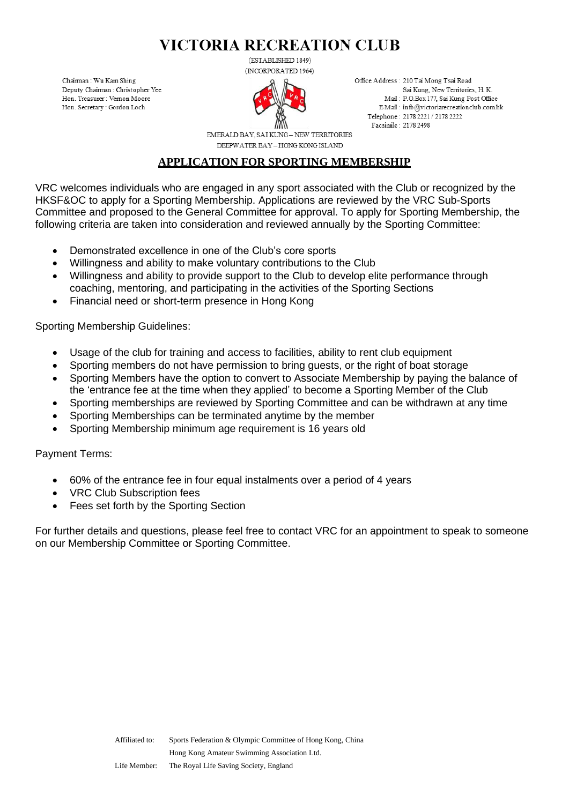(ESTABLISHED 1849)



Office Address: 210 Tai Mong Tsai Road Sai Kung, New Territories, H. K. Mail: P.O.Box 177, Sai Kung Post Office E-Mail: info@victoriarecreationclub.com.hk Telephone: 2178 2221 / 2178 2222 Facsimile: 2178 2498

EMERALD BAY, SAI KUNG- NEW TERRITORIES DEEPWATER BAY - HONG KONG ISLAND

### **APPLICATION FOR SPORTING MEMBERSHIP**

VRC welcomes individuals who are engaged in any sport associated with the Club or recognized by the HKSF&OC to apply for a Sporting Membership. Applications are reviewed by the VRC Sub-Sports Committee and proposed to the General Committee for approval. To apply for Sporting Membership, the following criteria are taken into consideration and reviewed annually by the Sporting Committee:

- Demonstrated excellence in one of the Club's core sports
- Willingness and ability to make voluntary contributions to the Club
- Willingness and ability to provide support to the Club to develop elite performance through coaching, mentoring, and participating in the activities of the Sporting Sections
- Financial need or short-term presence in Hong Kong

Sporting Membership Guidelines:

Chairman: Wu Kam Shing Deputy Chairman : Christopher Yee

Hon. Treasurer : Vernon Moore

Hon. Secretary: Gordon Loch

- Usage of the club for training and access to facilities, ability to rent club equipment
- Sporting members do not have permission to bring guests, or the right of boat storage
- Sporting Members have the option to convert to Associate Membership by paying the balance of the 'entrance fee at the time when they applied' to become a Sporting Member of the Club
- Sporting memberships are reviewed by Sporting Committee and can be withdrawn at any time
- Sporting Memberships can be terminated anytime by the member
- Sporting Membership minimum age requirement is 16 years old

Payment Terms:

- 60% of the entrance fee in four equal instalments over a period of 4 years
- VRC Club Subscription fees
- Fees set forth by the Sporting Section

For further details and questions, please feel free to contact VRC for an appointment to speak to someone on our Membership Committee or Sporting Committee.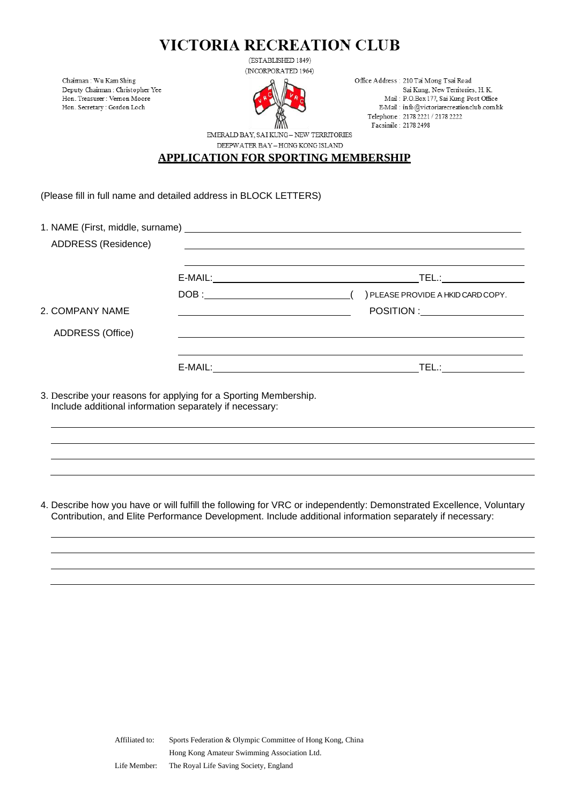(ESTABLISHED 1849)



Office Address: 210 Tai Mong Tsai Road Sai Kung, New Territories, H. K. Mail: P.O.Box 177, Sai Kung Post Office E-Mail: info@victoriarecreationclub.comhk Telephone: 2178 2221 / 2178 2222 Facsimile: 2178 2498

EMERALD BAY, SAI KUNG - NEW TERRITORIES DEEPWATER BAY - HONG KONG ISLAND

### **APPLICATION FOR SPORTING MEMBERSHIP**

(Please fill in full name and detailed address in BLOCK LETTERS)

Chaiman: Wu Kam Shing

Deputy Chairman : Christopher Yee

 $\operatorname{Hon}.$  Treasurer : Vernon Moore Hon. Secretary : Gordon Loch

| ADDRESS (Residence) |                                                                                                                                                                                                                                                                                                                                                                                       | <u> 1989 - Johann Harry Communication (b. 1989)</u> |
|---------------------|---------------------------------------------------------------------------------------------------------------------------------------------------------------------------------------------------------------------------------------------------------------------------------------------------------------------------------------------------------------------------------------|-----------------------------------------------------|
|                     |                                                                                                                                                                                                                                                                                                                                                                                       | TEL.: ______________                                |
|                     | $\texttt{DOB}:\underline{\hspace{2.5cm}} \begin{picture}(10,0) \label{picc} \put(20,0){\dashbox{0.5}(10,0){ }} \put(20,0){\dashbox{0.5}(10,0){ }} \put(20,0){\dashbox{0.5}(10,0){ }} \put(20,0){\dashbox{0.5}(10,0){ }} \put(20,0){\dashbox{0.5}(10,0){ }} \put(20,0){\dashbox{0.5}(10,0){ }} \put(20,0){\dashbox{0.5}(10,0){ }} \put(20,0){\dashbox{0.5}(10,0){ }} \put(20,0){\dash$ | ) PLEASE PROVIDE A HKID CARD COPY.                  |
| 2. COMPANY NAME     |                                                                                                                                                                                                                                                                                                                                                                                       | POSITION : ___________________                      |
| ADDRESS (Office)    |                                                                                                                                                                                                                                                                                                                                                                                       |                                                     |
|                     |                                                                                                                                                                                                                                                                                                                                                                                       | TEL.:________________                               |

3. Describe your reasons for applying for a Sporting Membership. Include additional information separately if necessary:

4. Describe how you have or will fulfill the following for VRC or independently: Demonstrated Excellence, Voluntary Contribution, and Elite Performance Development. Include additional information separately if necessary: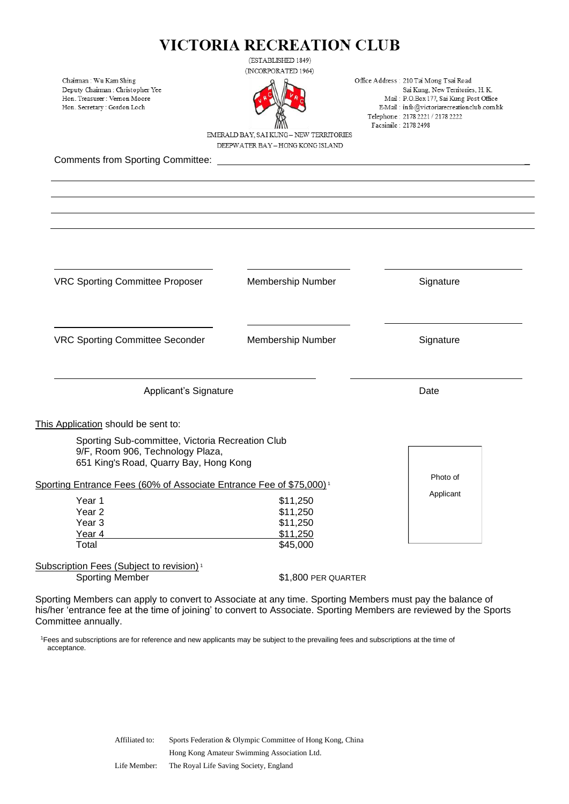(ESTABLISHED 1849)

Chairman: Wu Kam Shing Deputy Chairman : Christopher Yee Hon. Treasurer : Vernon Moore Hon. Secretary: Gordon Loch

(INCORPORATED 1964)



Office Address: 210 Tai Mong Tsai Road Sai Kung, New Territories, H. K. Mail: P.O.Box 177, Sai Kung Post Office E-Mail: info@victoriarecreationclub.comhk Telephone: 2178 2221 / 2178 2222 Facsimile: 2178 2498

EMERALD BAY, SAI KUNG- NEW TERRITORIES DEEPWATER BAY - HONG KONG ISLAND

Comments from Sporting Committee:

VRC Sporting Committee Proposer Membership Number Signature VRC Sporting Committee Seconder Membership Number Signature Applicant's Signature Date Date This Application should be sent to: Sporting Sub-committee, Victoria Recreation Club 9/F, Room 906, Technology Plaza, 651 King's Road, Quarry Bay, Hong Kong Sporting Entrance Fees (60% of Associate Entrance Fee of \$75,000) <sup>1</sup> Year 1 \$11,250 Year 2  $$11.250$ Year 3 \$11,250 Year 4  $$11,250$ Total \$45,000 Subscription Fees (Subject to revision)<sup>1</sup> Sporting Member \$1,800 PER QUARTER Photo of Applicant

Sporting Members can apply to convert to Associate at any time. Sporting Members must pay the balance of his/her 'entrance fee at the time of joining' to convert to Associate. Sporting Members are reviewed by the Sports Committee annually.

<sup>1</sup>Fees and subscriptions are for reference and new applicants may be subject to the prevailing fees and subscriptions at the time of acceptance.

> Affiliated to: Sports Federation & Olympic Committee of Hong Kong, China Hong Kong Amateur Swimming Association Ltd. Life Member: The Royal Life Saving Society, England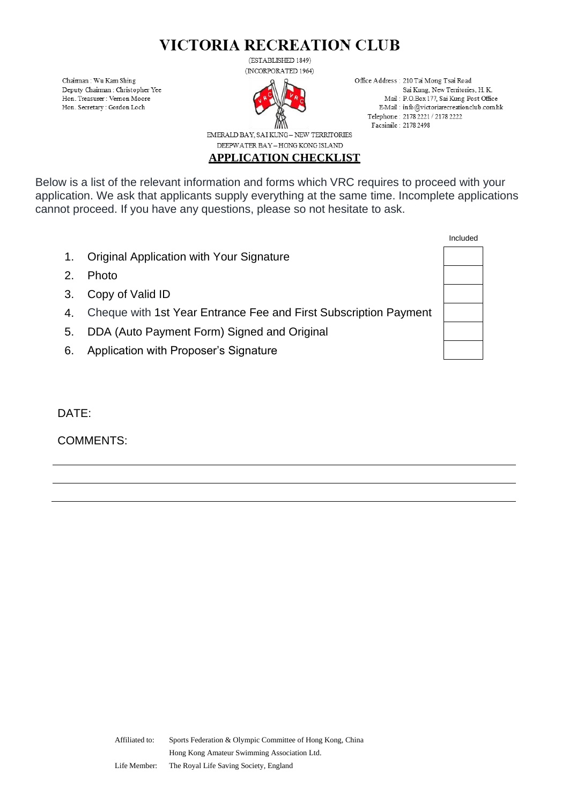Chaiman: Wu Kam Shing Deputy Chairman : Christopher Yee Hon. Treasurer : Vernon Moore Hon. Secretary : Gordon Loch

(ESTABLISHED 1849) (INCORPORATED 1964)



Office Address: 210 Tai Mong Tsai Road Sai Kung, New Territories, H. K. Mail: P.O.Box 177, Sai Kung Post Office E-Mail: info@victoriarecreationclub.comhk Telephone: 2178 2221 / 2178 2222 Facsimile: 2178 2498

EMERALD BAY, SAI KUNG - NEW TERRITORIES DEEPWATER BAY - HONG KONG ISLAND

**APPLICATION CHECKLIST**

Below is a list of the relevant information and forms which VRC requires to proceed with your application. We ask that applicants supply everything at the same time. Incomplete applications cannot proceed. If you have any questions, please so not hesitate to ask.

- 1. Original Application with Your Signature
- 2. Photo
- 3. Copy of Valid ID
- 4. Cheque with 1st Year Entrance Fee and First Subscription Payment
- 5. DDA (Auto Payment Form) Signed and Original
- 6. Application with Proposer's Signature

DATE:

COMMENTS: